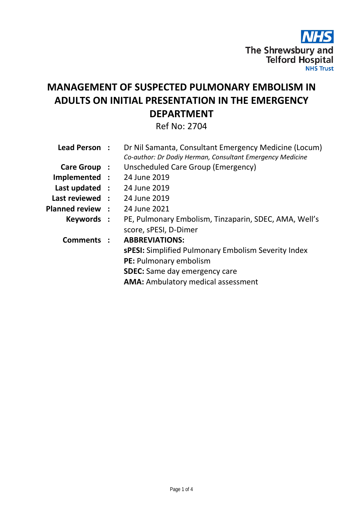

# **MANAGEMENT OF SUSPECTED PULMONARY EMBOLISM IN ADULTS ON INITIAL PRESENTATION IN THE EMERGENCY DEPARTMENT**

Ref No: 2704

| Lead Person:          |              | Dr Nil Samanta, Consultant Emergency Medicine (Locum)      |
|-----------------------|--------------|------------------------------------------------------------|
|                       |              | Co-author: Dr Dodiy Herman, Consultant Emergency Medicine  |
| Care Group :          |              | Unscheduled Care Group (Emergency)                         |
| Implemented :         |              | 24 June 2019                                               |
| Last updated :        |              | 24 June 2019                                               |
| Last reviewed :       |              | 24 June 2019                                               |
| <b>Planned review</b> | $\mathbf{L}$ | 24 June 2021                                               |
| Keywords :            |              | PE, Pulmonary Embolism, Tinzaparin, SDEC, AMA, Well's      |
|                       |              | score, sPESI, D-Dimer                                      |
| <b>Comments</b>       |              | <b>ABBREVIATIONS:</b>                                      |
|                       |              | <b>sPESI:</b> Simplified Pulmonary Embolism Severity Index |
|                       |              | PE: Pulmonary embolism                                     |
|                       |              | <b>SDEC:</b> Same day emergency care                       |
|                       |              | <b>AMA:</b> Ambulatory medical assessment                  |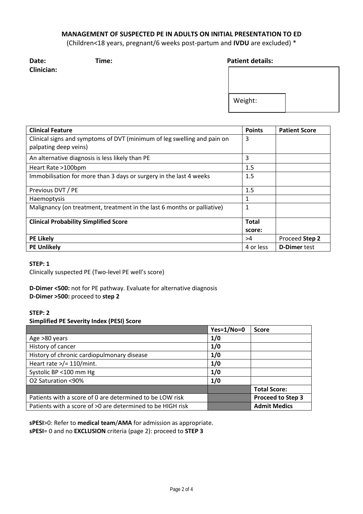# **MANAGEMENT OF SUSPECTED PE IN ADULTS ON INITIAL PRESENTATION TO ED**

(Children<18 years, pregnant/6 weeks post-partum and **IVDU** are excluded) \*

**Clinician:**

# **Date: Time: Patient details:**

| Weight: |  |
|---------|--|
|         |  |

| <b>Clinical Feature</b>                                                 | <b>Points</b> | <b>Patient Score</b> |
|-------------------------------------------------------------------------|---------------|----------------------|
| Clinical signs and symptoms of DVT (minimum of leg swelling and pain on |               |                      |
| palpating deep veins)                                                   |               |                      |
| An alternative diagnosis is less likely than PE                         | 3             |                      |
| Heart Rate >100bpm                                                      | 1.5           |                      |
| Immobilisation for more than 3 days or surgery in the last 4 weeks      | 1.5           |                      |
| Previous DVT / PE                                                       | 1.5           |                      |
| <b>Haemoptysis</b>                                                      | 1             |                      |
| Malignancy (on treatment, treatment in the last 6 months or palliative) | 1             |                      |
| <b>Clinical Probability Simplified Score</b>                            | <b>Total</b>  |                      |
|                                                                         | score:        |                      |
| <b>PE Likely</b>                                                        | >4            | Proceed Step 2       |
| <b>PE Unlikely</b>                                                      | 4 or less     | <b>D-Dimer test</b>  |

## **STEP: 1**

Clinically suspected PE (Two-level PE well's score)

**D-Dimer <500:** not for PE pathway. Evaluate for alternative diagnosis **D-Dimer >500:** proceed to **step 2**

## **STEP: 2 Simplified PE Severity Index (PESI) Score**

|                                                            | $Yes=1/No=0$ | <b>Score</b>             |
|------------------------------------------------------------|--------------|--------------------------|
| Age >80 years                                              | 1/0          |                          |
| History of cancer                                          | 1/0          |                          |
| History of chronic cardiopulmonary disease                 | 1/0          |                          |
| Heart rate $>$ /= 110/mint.                                | 1/0          |                          |
| Systolic BP <100 mm Hg                                     | 1/0          |                          |
| O2 Saturation <90%                                         | 1/0          |                          |
|                                                            |              | <b>Total Score:</b>      |
| Patients with a score of 0 are determined to be LOW risk   |              | <b>Proceed to Step 3</b> |
| Patients with a score of >0 are determined to be HIGH risk |              | <b>Admit Medics</b>      |

**sPESI**>0: Refer to **medical team**/**AMA** for admission as appropriate. **sPESI**= 0 and no **EXCLUSION** criteria (page 2): proceed to **STEP 3**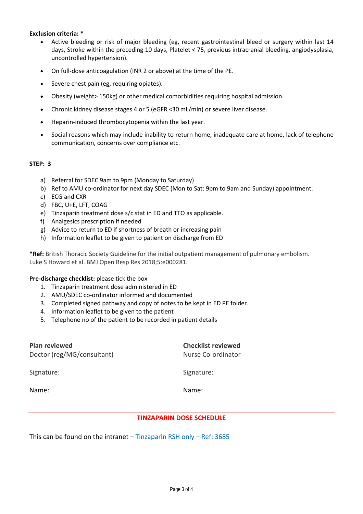#### **Exclusion criteria: \***

- Active bleeding or risk of major bleeding (eg, recent gastrointestinal bleed or surgery within last 14 days, Stroke within the preceding 10 days, Platelet < 75, previous intracranial bleeding, angiodysplasia, uncontrolled hypertension).
- On full-dose anticoagulation (INR 2 or above) at the time of the PE.
- Severe chest pain (eg, requiring opiates).
- Obesity (weight> 150kg) or other medical comorbidities requiring hospital admission.
- Chronic kidney disease stages 4 or 5 (eGFR <30 mL/min) or severe liver disease.
- Heparin-induced thrombocytopenia within the last year.
- Social reasons which may include inability to return home, inadequate care at home, lack of telephone communication, concerns over compliance etc.

## **STEP: 3**

- a) Referral for SDEC 9am to 9pm (Monday to Saturday)
- b) Ref to AMU co-ordinator for next day SDEC (Mon to Sat: 9pm to 9am and Sunday) appointment.
- c) ECG and CXR
- d) FBC, U+E, LFT, COAG
- e) Tinzaparin treatment dose s/c stat in ED and TTO as applicable.
- f) Analgesics prescription if needed
- g) Advice to return to ED if shortness of breath or increasing pain
- h) Information leaflet to be given to patient on discharge from ED

**\*Ref:** British Thoracic Society Guideline for the initial outpatient management of pulmonary embolism. Luke S Howard et al. BMJ Open Resp Res 2018;5:e000281.

## **Pre-discharge checklist:** please tick the box

- 1. Tinzaparin treatment dose administered in ED
- 2. AMU/SDEC co-ordinator informed and documented
- 3. Completed signed pathway and copy of notes to be kept in ED PE folder.
- 4. Information leaflet to be given to the patient
- 5. Telephone no of the patient to be recorded in patient details

| <b>Plan reviewed</b><br>Doctor (reg/MG/consultant) | <b>Checklist reviewed</b><br>Nurse Co-ordinator |  |
|----------------------------------------------------|-------------------------------------------------|--|
| Signature:                                         | Signature:                                      |  |
| Name:                                              | Name:                                           |  |
|                                                    |                                                 |  |

## **TINZAPARIN DOSE SCHEDULE**

This can be found on the intranet  $-$  Tinzaparin RSH only  $-$  Ref: 3685